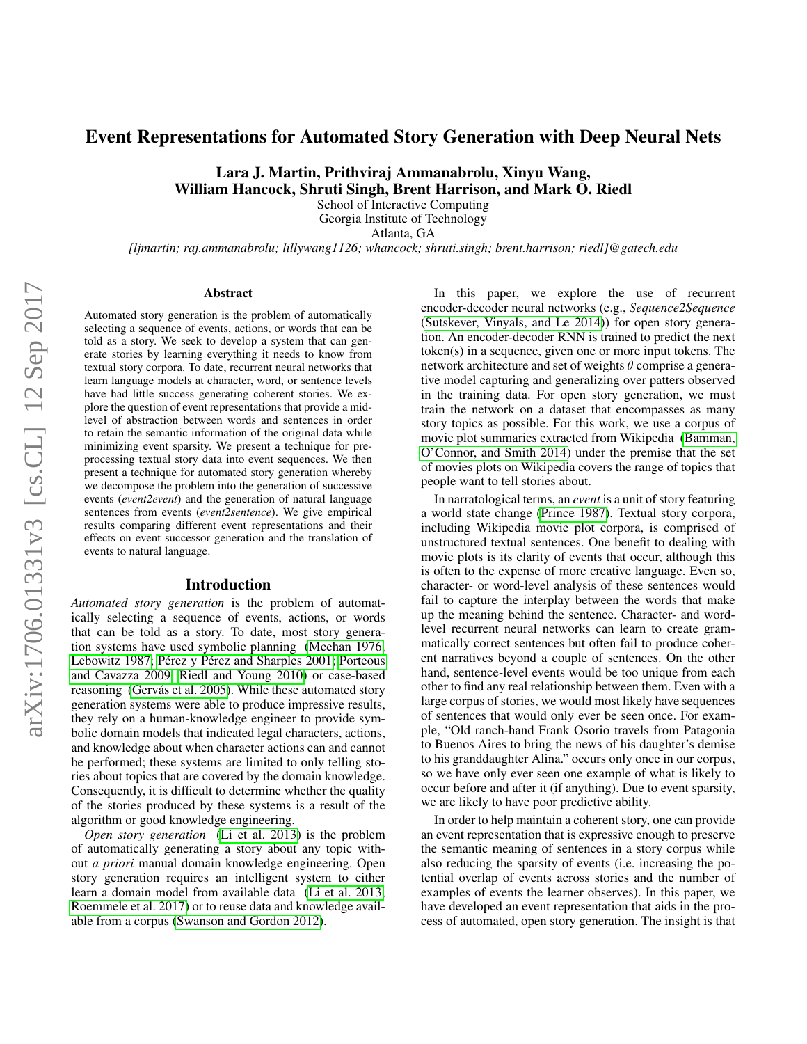# Event Representations for Automated Story Generation with Deep Neural Nets

Lara J. Martin, Prithviraj Ammanabrolu, Xinyu Wang, William Hancock, Shruti Singh, Brent Harrison, and Mark O. Riedl

School of Interactive Computing

Georgia Institute of Technology

Atlanta, GA

*[ljmartin; raj.ammanabrolu; lillywang1126; whancock; shruti.singh; brent.harrison; riedl]@gatech.edu*

#### Abstract

Automated story generation is the problem of automatically selecting a sequence of events, actions, or words that can be told as a story. We seek to develop a system that can generate stories by learning everything it needs to know from textual story corpora. To date, recurrent neural networks that learn language models at character, word, or sentence levels have had little success generating coherent stories. We explore the question of event representations that provide a midlevel of abstraction between words and sentences in order to retain the semantic information of the original data while minimizing event sparsity. We present a technique for preprocessing textual story data into event sequences. We then present a technique for automated story generation whereby we decompose the problem into the generation of successive events (*event2event*) and the generation of natural language sentences from events (*event2sentence*). We give empirical results comparing different event representations and their effects on event successor generation and the translation of events to natural language.

#### Introduction

*Automated story generation* is the problem of automatically selecting a sequence of events, actions, or words that can be told as a story. To date, most story generation systems have used symbolic planning [\(Meehan 1976;](#page-7-0) [Lebowitz 1987;](#page-7-1) Pérez y Pérez and Sharples 2001; [Porteous](#page-7-3) [and Cavazza 2009;](#page-7-3) [Riedl and Young 2010\)](#page-7-4) or case-based reasoning (Gervás et al. 2005). While these automated story generation systems were able to produce impressive results, they rely on a human-knowledge engineer to provide symbolic domain models that indicated legal characters, actions, and knowledge about when character actions can and cannot be performed; these systems are limited to only telling stories about topics that are covered by the domain knowledge. Consequently, it is difficult to determine whether the quality of the stories produced by these systems is a result of the algorithm or good knowledge engineering.

*Open story generation* [\(Li et al. 2013\)](#page-7-6) is the problem of automatically generating a story about any topic without *a priori* manual domain knowledge engineering. Open story generation requires an intelligent system to either learn a domain model from available data [\(Li et al. 2013;](#page-7-6) [Roemmele et al. 2017\)](#page-7-7) or to reuse data and knowledge available from a corpus [\(Swanson and Gordon 2012\)](#page-7-8).

In this paper, we explore the use of recurrent encoder-decoder neural networks (e.g., *Sequence2Sequence* [\(Sutskever, Vinyals, and Le 2014\)](#page-7-9)) for open story generation. An encoder-decoder RNN is trained to predict the next token(s) in a sequence, given one or more input tokens. The network architecture and set of weights  $\theta$  comprise a generative model capturing and generalizing over patters observed in the training data. For open story generation, we must train the network on a dataset that encompasses as many story topics as possible. For this work, we use a corpus of movie plot summaries extracted from Wikipedia [\(Bamman,](#page-7-10) [O'Connor, and Smith 2014\)](#page-7-10) under the premise that the set of movies plots on Wikipedia covers the range of topics that people want to tell stories about.

In narratological terms, an *event* is a unit of story featuring a world state change [\(Prince 1987\)](#page-7-11). Textual story corpora, including Wikipedia movie plot corpora, is comprised of unstructured textual sentences. One benefit to dealing with movie plots is its clarity of events that occur, although this is often to the expense of more creative language. Even so, character- or word-level analysis of these sentences would fail to capture the interplay between the words that make up the meaning behind the sentence. Character- and wordlevel recurrent neural networks can learn to create grammatically correct sentences but often fail to produce coherent narratives beyond a couple of sentences. On the other hand, sentence-level events would be too unique from each other to find any real relationship between them. Even with a large corpus of stories, we would most likely have sequences of sentences that would only ever be seen once. For example, "Old ranch-hand Frank Osorio travels from Patagonia to Buenos Aires to bring the news of his daughter's demise to his granddaughter Alina." occurs only once in our corpus, so we have only ever seen one example of what is likely to occur before and after it (if anything). Due to event sparsity, we are likely to have poor predictive ability.

In order to help maintain a coherent story, one can provide an event representation that is expressive enough to preserve the semantic meaning of sentences in a story corpus while also reducing the sparsity of events (i.e. increasing the potential overlap of events across stories and the number of examples of events the learner observes). In this paper, we have developed an event representation that aids in the process of automated, open story generation. The insight is that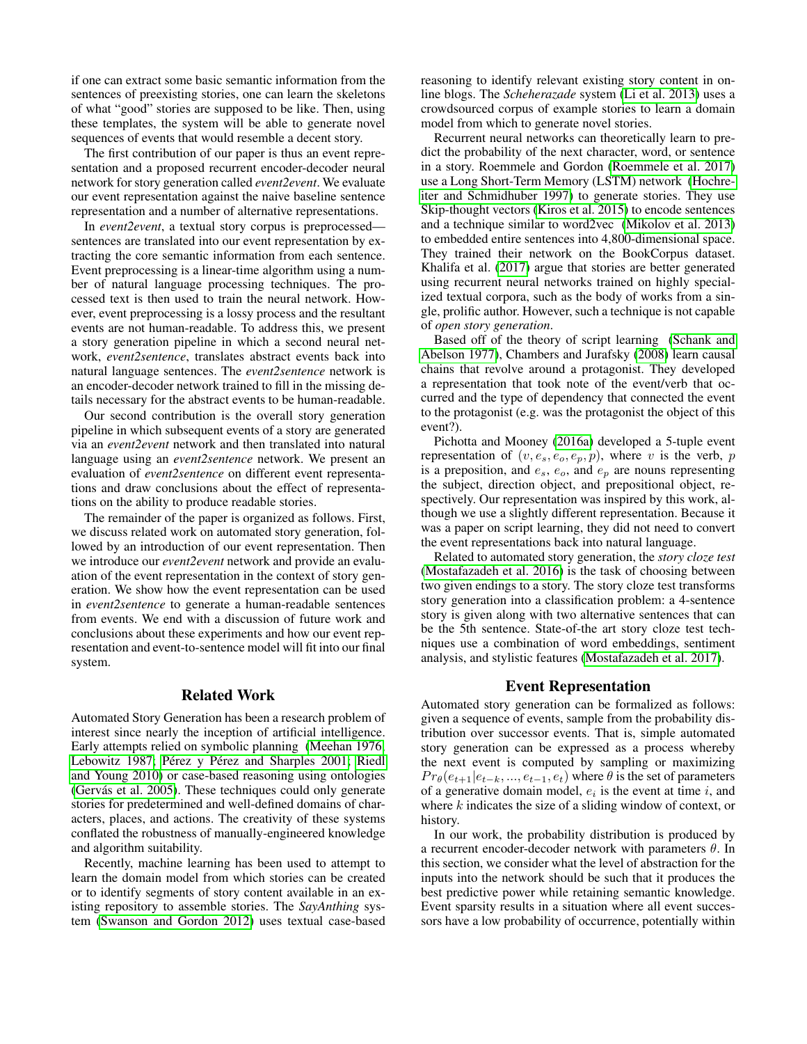if one can extract some basic semantic information from the sentences of preexisting stories, one can learn the skeletons of what "good" stories are supposed to be like. Then, using these templates, the system will be able to generate novel sequences of events that would resemble a decent story.

The first contribution of our paper is thus an event representation and a proposed recurrent encoder-decoder neural network for story generation called *event2event*. We evaluate our event representation against the naive baseline sentence representation and a number of alternative representations.

In *event2event*, a textual story corpus is preprocessed sentences are translated into our event representation by extracting the core semantic information from each sentence. Event preprocessing is a linear-time algorithm using a number of natural language processing techniques. The processed text is then used to train the neural network. However, event preprocessing is a lossy process and the resultant events are not human-readable. To address this, we present a story generation pipeline in which a second neural network, *event2sentence*, translates abstract events back into natural language sentences. The *event2sentence* network is an encoder-decoder network trained to fill in the missing details necessary for the abstract events to be human-readable.

Our second contribution is the overall story generation pipeline in which subsequent events of a story are generated via an *event2event* network and then translated into natural language using an *event2sentence* network. We present an evaluation of *event2sentence* on different event representations and draw conclusions about the effect of representations on the ability to produce readable stories.

The remainder of the paper is organized as follows. First, we discuss related work on automated story generation, followed by an introduction of our event representation. Then we introduce our *event2event* network and provide an evaluation of the event representation in the context of story generation. We show how the event representation can be used in *event2sentence* to generate a human-readable sentences from events. We end with a discussion of future work and conclusions about these experiments and how our event representation and event-to-sentence model will fit into our final system.

## Related Work

Automated Story Generation has been a research problem of interest since nearly the inception of artificial intelligence. Early attempts relied on symbolic planning [\(Meehan 1976;](#page-7-0) [Lebowitz 1987;](#page-7-1) Pérez y Pérez and Sharples 2001; [Riedl](#page-7-4) [and Young 2010\)](#page-7-4) or case-based reasoning using ontologies (Gervás et al. 2005). These techniques could only generate stories for predetermined and well-defined domains of characters, places, and actions. The creativity of these systems conflated the robustness of manually-engineered knowledge and algorithm suitability.

Recently, machine learning has been used to attempt to learn the domain model from which stories can be created or to identify segments of story content available in an existing repository to assemble stories. The *SayAnthing* system [\(Swanson and Gordon 2012\)](#page-7-8) uses textual case-based

reasoning to identify relevant existing story content in online blogs. The *Scheherazade* system [\(Li et al. 2013\)](#page-7-6) uses a crowdsourced corpus of example stories to learn a domain model from which to generate novel stories.

Recurrent neural networks can theoretically learn to predict the probability of the next character, word, or sentence in a story. Roemmele and Gordon [\(Roemmele et al. 2017\)](#page-7-7) use a Long Short-Term Memory (LSTM) network [\(Hochre](#page-7-12)[iter and Schmidhuber 1997\)](#page-7-12) to generate stories. They use Skip-thought vectors [\(Kiros et al. 2015\)](#page-7-13) to encode sentences and a technique similar to word2vec [\(Mikolov et al. 2013\)](#page-7-14) to embedded entire sentences into 4,800-dimensional space. They trained their network on the BookCorpus dataset. Khalifa et al. [\(2017\)](#page-7-15) argue that stories are better generated using recurrent neural networks trained on highly specialized textual corpora, such as the body of works from a single, prolific author. However, such a technique is not capable of *open story generation*.

Based off of the theory of script learning [\(Schank and](#page-7-16) [Abelson 1977\)](#page-7-16), Chambers and Jurafsky [\(2008\)](#page-7-17) learn causal chains that revolve around a protagonist. They developed a representation that took note of the event/verb that occurred and the type of dependency that connected the event to the protagonist (e.g. was the protagonist the object of this event?).

Pichotta and Mooney [\(2016a\)](#page-7-18) developed a 5-tuple event representation of  $(v, e_s, e_o, e_p, p)$ , where v is the verb, p is a preposition, and  $e_s$ ,  $e_o$ , and  $e_p$  are nouns representing the subject, direction object, and prepositional object, respectively. Our representation was inspired by this work, although we use a slightly different representation. Because it was a paper on script learning, they did not need to convert the event representations back into natural language.

Related to automated story generation, the *story cloze test* [\(Mostafazadeh et al. 2016\)](#page-7-19) is the task of choosing between two given endings to a story. The story cloze test transforms story generation into a classification problem: a 4-sentence story is given along with two alternative sentences that can be the 5th sentence. State-of-the art story cloze test techniques use a combination of word embeddings, sentiment analysis, and stylistic features [\(Mostafazadeh et al. 2017\)](#page-7-20).

### Event Representation

Automated story generation can be formalized as follows: given a sequence of events, sample from the probability distribution over successor events. That is, simple automated story generation can be expressed as a process whereby the next event is computed by sampling or maximizing  $Pr_{\theta}(e_{t+1}|e_{t-k},...,e_{t-1},e_t)$  where  $\theta$  is the set of parameters of a generative domain model,  $e_i$  is the event at time i, and where  $k$  indicates the size of a sliding window of context, or history.

In our work, the probability distribution is produced by a recurrent encoder-decoder network with parameters  $\theta$ . In this section, we consider what the level of abstraction for the inputs into the network should be such that it produces the best predictive power while retaining semantic knowledge. Event sparsity results in a situation where all event successors have a low probability of occurrence, potentially within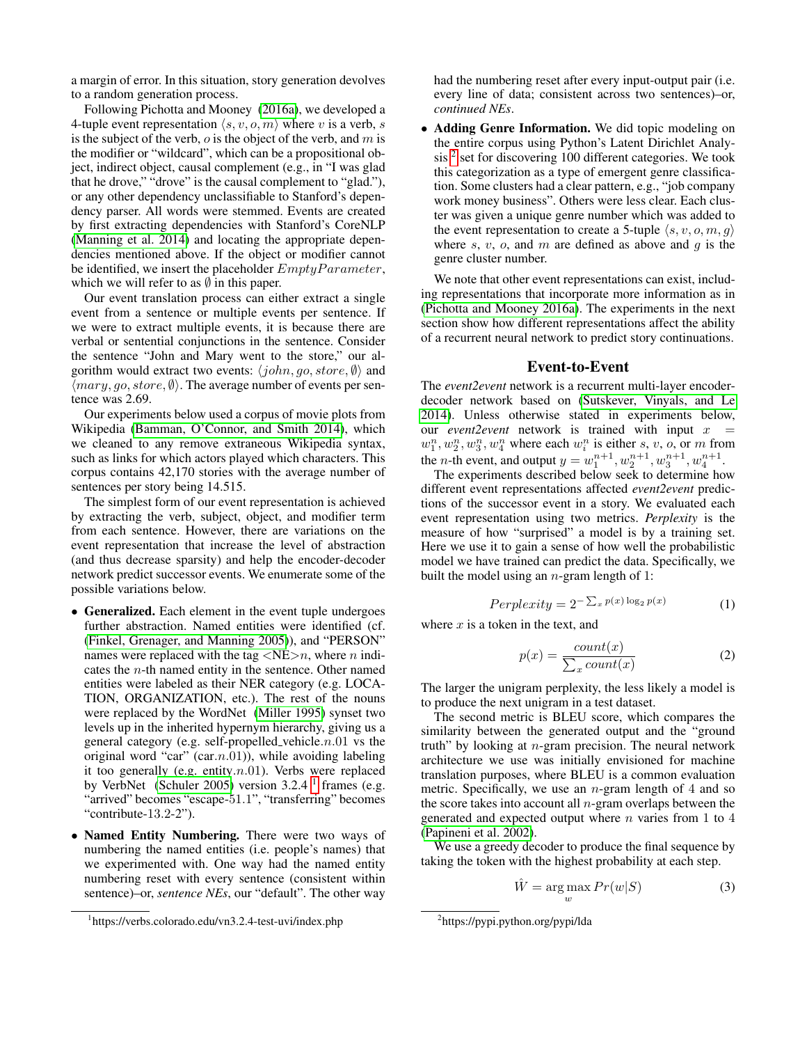a margin of error. In this situation, story generation devolves to a random generation process.

Following Pichotta and Mooney [\(2016a\)](#page-7-18), we developed a 4-tuple event representation  $\langle s, v, o, m \rangle$  where v is a verb, s is the subject of the verb,  $\sigma$  is the object of the verb, and  $m$  is the modifier or "wildcard", which can be a propositional object, indirect object, causal complement (e.g., in "I was glad that he drove," "drove" is the causal complement to "glad."), or any other dependency unclassifiable to Stanford's dependency parser. All words were stemmed. Events are created by first extracting dependencies with Stanford's CoreNLP [\(Manning et al. 2014\)](#page-7-21) and locating the appropriate dependencies mentioned above. If the object or modifier cannot be identified, we insert the placeholder  $EmptyParameter$ , which we will refer to as  $\emptyset$  in this paper.

Our event translation process can either extract a single event from a sentence or multiple events per sentence. If we were to extract multiple events, it is because there are verbal or sentential conjunctions in the sentence. Consider the sentence "John and Mary went to the store," our algorithm would extract two events:  $\langle john, go, store, \emptyset \rangle$  and  $\langle$ *mary*, *go*, *store*,  $\emptyset$ ). The average number of events per sentence was 2.69.

Our experiments below used a corpus of movie plots from Wikipedia [\(Bamman, O'Connor, and Smith 2014\)](#page-7-10), which we cleaned to any remove extraneous Wikipedia syntax, such as links for which actors played which characters. This corpus contains 42,170 stories with the average number of sentences per story being 14.515.

The simplest form of our event representation is achieved by extracting the verb, subject, object, and modifier term from each sentence. However, there are variations on the event representation that increase the level of abstraction (and thus decrease sparsity) and help the encoder-decoder network predict successor events. We enumerate some of the possible variations below.

- Generalized. Each element in the event tuple undergoes further abstraction. Named entities were identified (cf. [\(Finkel, Grenager, and Manning 2005\)](#page-7-22)), and "PERSON" names were replaced with the tag  $\langle NE \rangle n$ , where *n* indicates the  $n$ -th named entity in the sentence. Other named entities were labeled as their NER category (e.g. LOCA-TION, ORGANIZATION, etc.). The rest of the nouns were replaced by the WordNet [\(Miller 1995\)](#page-7-23) synset two levels up in the inherited hypernym hierarchy, giving us a general category (e.g. self-propelled vehicle. $n.01$  vs the original word "car" (car. $n.01$ )), while avoiding labeling it too generally (e.g. entity. $n.01$ ). Verbs were replaced by VerbNet [\(Schuler 2005\)](#page-7-24) version  $3.2.4<sup>1</sup>$  $3.2.4<sup>1</sup>$  $3.2.4<sup>1</sup>$  frames (e.g. "arrived" becomes "escape-51.1", "transferring" becomes "contribute-13.2-2").
- Named Entity Numbering. There were two ways of numbering the named entities (i.e. people's names) that we experimented with. One way had the named entity numbering reset with every sentence (consistent within sentence)–or, *sentence NEs*, our "default". The other way

had the numbering reset after every input-output pair (i.e. every line of data; consistent across two sentences)–or, *continued NEs*.

• Adding Genre Information. We did topic modeling on the entire corpus using Python's Latent Dirichlet Analy-sis<sup>[2](#page-2-1)</sup> set for discovering 100 different categories. We took this categorization as a type of emergent genre classification. Some clusters had a clear pattern, e.g., "job company work money business". Others were less clear. Each cluster was given a unique genre number which was added to the event representation to create a 5-tuple  $\langle s, v, o, m, g \rangle$ where s, v, o, and m are defined as above and  $q$  is the genre cluster number.

We note that other event representations can exist, including representations that incorporate more information as in [\(Pichotta and Mooney 2016a\)](#page-7-18). The experiments in the next section show how different representations affect the ability of a recurrent neural network to predict story continuations.

## Event-to-Event

The *event2event* network is a recurrent multi-layer encoderdecoder network based on [\(Sutskever, Vinyals, and Le](#page-7-9) [2014\)](#page-7-9). Unless otherwise stated in experiments below, our *event2event* network is trained with input  $x =$  $w_1^n, w_2^n, w_3^n, w_4^n$  where each  $w_i^n$  is either s, v, o, or m from the *n*-th event, and output  $y = w_1^{n+1}, w_2^{n+1}, w_3^{n+1}, w_4^{n+1}$ .

The experiments described below seek to determine how different event representations affected *event2event* predictions of the successor event in a story. We evaluated each event representation using two metrics. *Perplexity* is the measure of how "surprised" a model is by a training set. Here we use it to gain a sense of how well the probabilistic model we have trained can predict the data. Specifically, we built the model using an  $n$ -gram length of 1:

$$
Perplexity = 2^{-\sum_{x} p(x) \log_2 p(x)} \tag{1}
$$

where  $x$  is a token in the text, and

$$
p(x) = \frac{count(x)}{\sum_{x} count(x)}\tag{2}
$$

The larger the unigram perplexity, the less likely a model is to produce the next unigram in a test dataset.

The second metric is BLEU score, which compares the similarity between the generated output and the "ground truth" by looking at  $n$ -gram precision. The neural network architecture we use was initially envisioned for machine translation purposes, where BLEU is a common evaluation metric. Specifically, we use an  $n$ -gram length of 4 and so the score takes into account all  $n$ -gram overlaps between the generated and expected output where  $n$  varies from 1 to 4 [\(Papineni et al. 2002\)](#page-7-25).

We use a greedy decoder to produce the final sequence by taking the token with the highest probability at each step.

$$
\hat{W} = \underset{w}{\arg\max} Pr(w|S) \tag{3}
$$

<span id="page-2-0"></span><sup>1</sup> https://verbs.colorado.edu/vn3.2.4-test-uvi/index.php

<span id="page-2-1"></span><sup>2</sup> https://pypi.python.org/pypi/lda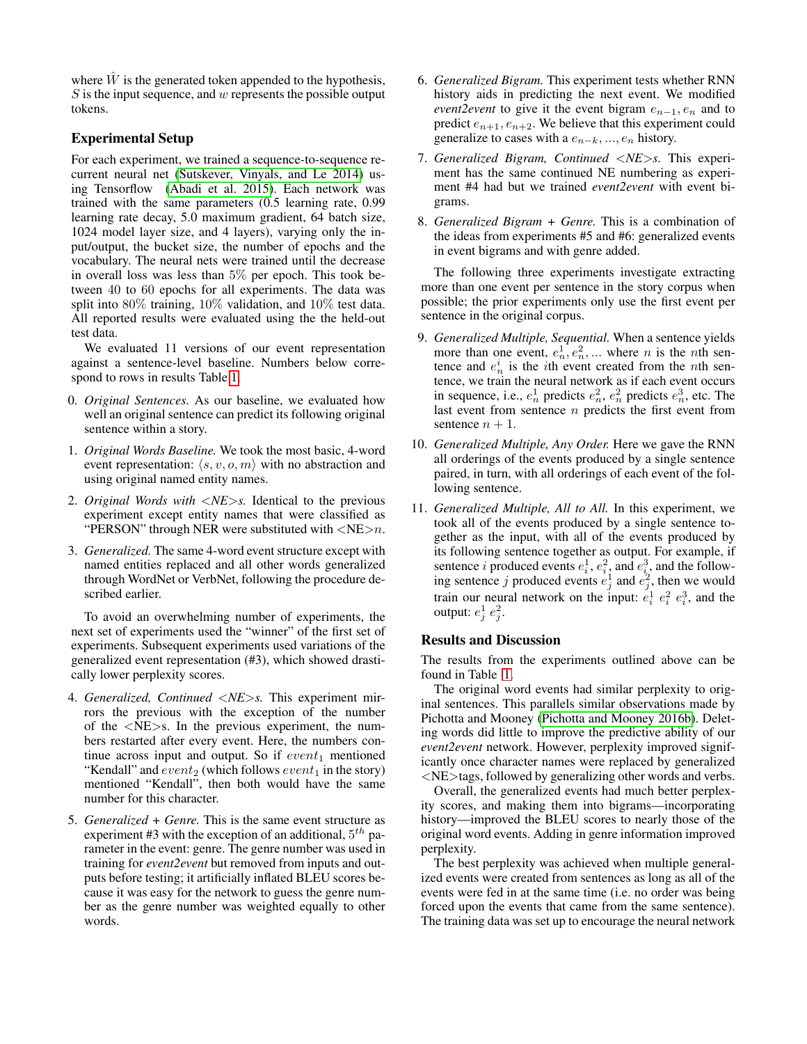where  $\hat{W}$  is the generated token appended to the hypothesis,  $S$  is the input sequence, and  $w$  represents the possible output tokens.

# Experimental Setup

For each experiment, we trained a sequence-to-sequence recurrent neural net [\(Sutskever, Vinyals, and Le 2014\)](#page-7-9) using Tensorflow [\(Abadi et al. 2015\)](#page-6-0). Each network was trained with the same parameters (0.5 learning rate, 0.99 learning rate decay, 5.0 maximum gradient, 64 batch size, 1024 model layer size, and 4 layers), varying only the input/output, the bucket size, the number of epochs and the vocabulary. The neural nets were trained until the decrease in overall loss was less than 5% per epoch. This took between 40 to 60 epochs for all experiments. The data was split into 80% training, 10% validation, and 10% test data. All reported results were evaluated using the the held-out test data.

We evaluated 11 versions of our event representation against a sentence-level baseline. Numbers below correspond to rows in results Table [1.](#page-4-0)

- 0. *Original Sentences.* As our baseline, we evaluated how well an original sentence can predict its following original sentence within a story.
- 1. *Original Words Baseline.* We took the most basic, 4-word event representation:  $\langle s, v, o, m \rangle$  with no abstraction and using original named entity names.
- 2. *Original Words with* <*NE*>*s.* Identical to the previous experiment except entity names that were classified as "PERSON" through NER were substituted with  $\langle NE \rangle n$ .
- 3. *Generalized.* The same 4-word event structure except with named entities replaced and all other words generalized through WordNet or VerbNet, following the procedure described earlier.

To avoid an overwhelming number of experiments, the next set of experiments used the "winner" of the first set of experiments. Subsequent experiments used variations of the generalized event representation (#3), which showed drastically lower perplexity scores.

- 4. *Generalized, Continued* <*NE*>*s.* This experiment mirrors the previous with the exception of the number of the  $\langle NE \rangle$ s. In the previous experiment, the numbers restarted after every event. Here, the numbers continue across input and output. So if  $event_1$  mentioned "Kendall" and  $event_2$  (which follows  $event_1$  in the story) mentioned "Kendall", then both would have the same number for this character.
- 5. *Generalized + Genre.* This is the same event structure as experiment #3 with the exception of an additional,  $5^{th}$  parameter in the event: genre. The genre number was used in training for *event2event* but removed from inputs and outputs before testing; it artificially inflated BLEU scores because it was easy for the network to guess the genre number as the genre number was weighted equally to other words.
- 6. *Generalized Bigram.* This experiment tests whether RNN history aids in predicting the next event. We modified *event2event* to give it the event bigram  $e_{n-1}$ ,  $e_n$  and to predict  $e_{n+1}, e_{n+2}$ . We believe that this experiment could generalize to cases with a  $e_{n-k}$ , ...,  $e_n$  history.
- 7. *Generalized Bigram, Continued* <*NE*>*s.* This experiment has the same continued NE numbering as experiment #4 had but we trained *event2event* with event bigrams.
- 8. *Generalized Bigram + Genre.* This is a combination of the ideas from experiments #5 and #6: generalized events in event bigrams and with genre added.

The following three experiments investigate extracting more than one event per sentence in the story corpus when possible; the prior experiments only use the first event per sentence in the original corpus.

- 9. *Generalized Multiple, Sequential.* When a sentence yields more than one event,  $e_n^1, e_n^2, \dots$  where *n* is the *n*th sentence and  $e_n^i$  is the *i*th event created from the *n*th sentence, we train the neural network as if each event occurs in sequence, i.e.,  $e_n^1$  predicts  $e_n^2$ ,  $e_n^2$  predicts  $e_n^3$ , etc. The last event from sentence  $n$  predicts the first event from sentence  $n + 1$ .
- 10. *Generalized Multiple, Any Order.* Here we gave the RNN all orderings of the events produced by a single sentence paired, in turn, with all orderings of each event of the following sentence.
- 11. *Generalized Multiple, All to All.* In this experiment, we took all of the events produced by a single sentence together as the input, with all of the events produced by its following sentence together as output. For example, if sentence *i* produced events  $e_i^1$ ,  $e_i^2$ , and  $e_i^3$ , and the following sentence j produced events  $e_j^1$  and  $e_j^2$ , then we would train our neural network on the input:  $e_i^1 e_i^2 e_i^3$ , and the output:  $e_j^1 e_j^2$ .

# Results and Discussion

The results from the experiments outlined above can be found in Table [1.](#page-4-0)

The original word events had similar perplexity to original sentences. This parallels similar observations made by Pichotta and Mooney [\(Pichotta and Mooney 2016b\)](#page-7-26). Deleting words did little to improve the predictive ability of our *event2event* network. However, perplexity improved significantly once character names were replaced by generalized <NE>tags, followed by generalizing other words and verbs.

Overall, the generalized events had much better perplexity scores, and making them into bigrams—incorporating history—improved the BLEU scores to nearly those of the original word events. Adding in genre information improved perplexity.

The best perplexity was achieved when multiple generalized events were created from sentences as long as all of the events were fed in at the same time (i.e. no order was being forced upon the events that came from the same sentence). The training data was set up to encourage the neural network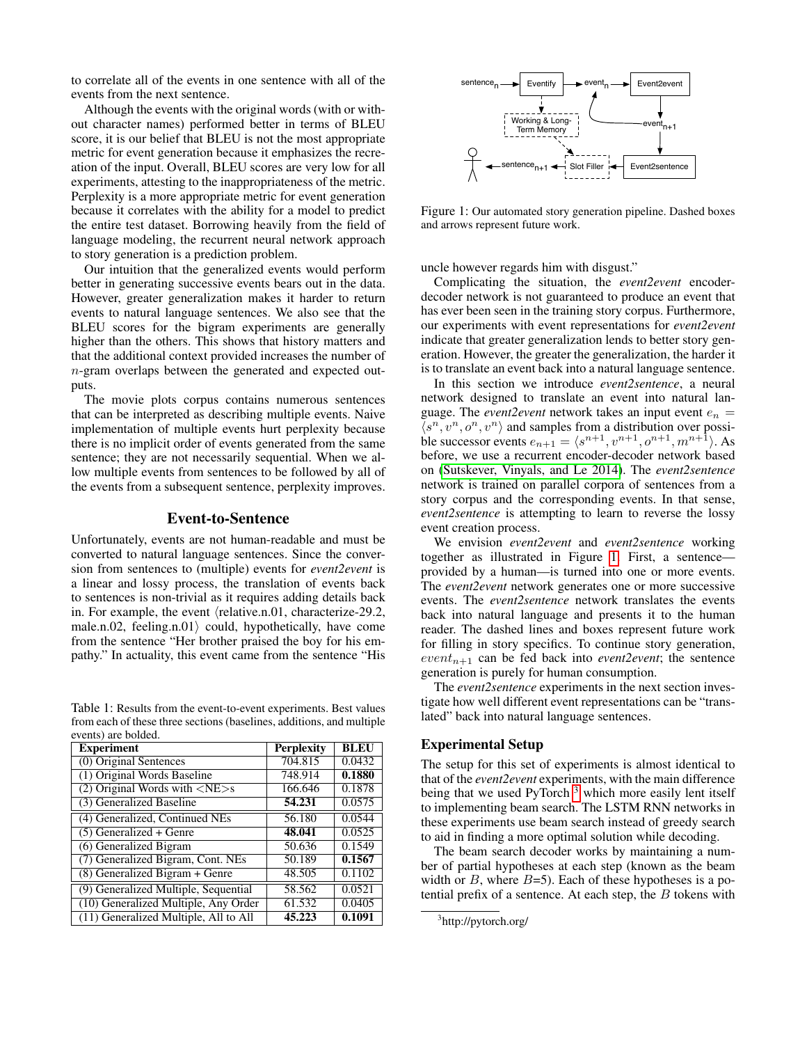to correlate all of the events in one sentence with all of the events from the next sentence.

Although the events with the original words (with or without character names) performed better in terms of BLEU score, it is our belief that BLEU is not the most appropriate metric for event generation because it emphasizes the recreation of the input. Overall, BLEU scores are very low for all experiments, attesting to the inappropriateness of the metric. Perplexity is a more appropriate metric for event generation because it correlates with the ability for a model to predict the entire test dataset. Borrowing heavily from the field of language modeling, the recurrent neural network approach to story generation is a prediction problem.

Our intuition that the generalized events would perform better in generating successive events bears out in the data. However, greater generalization makes it harder to return events to natural language sentences. We also see that the BLEU scores for the bigram experiments are generally higher than the others. This shows that history matters and that the additional context provided increases the number of n-gram overlaps between the generated and expected outputs.

The movie plots corpus contains numerous sentences that can be interpreted as describing multiple events. Naive implementation of multiple events hurt perplexity because there is no implicit order of events generated from the same sentence; they are not necessarily sequential. When we allow multiple events from sentences to be followed by all of the events from a subsequent sentence, perplexity improves.

### Event-to-Sentence

Unfortunately, events are not human-readable and must be converted to natural language sentences. Since the conversion from sentences to (multiple) events for *event2event* is a linear and lossy process, the translation of events back to sentences is non-trivial as it requires adding details back in. For example, the event  $\langle$  relative.n.01, characterize-29.2, male.n.02, feeling.n.01) could, hypothetically, have come from the sentence "Her brother praised the boy for his empathy." In actuality, this event came from the sentence "His

<span id="page-4-0"></span>Table 1: Results from the event-to-event experiments. Best values from each of these three sections (baselines, additions, and multiple events) are bolded.

| <b>Experiment</b>                                | <b>Perplexity</b> | <b>BLEU</b> |
|--------------------------------------------------|-------------------|-------------|
| $(0)$ Original Sentences                         | 704.815           | 0.0432      |
| (1) Original Words Baseline                      | 748.914           | 0.1880      |
| $(2)$ Original Words with $\langle NE \rangle$ s | 166.646           | 0.1878      |
| (3) Generalized Baseline                         | 54.231            | 0.0575      |
| (4) Generalized, Continued NEs                   | 56.180            | 0.0544      |
| $(5)$ Generalized + Genre                        | 48.041            | 0.0525      |
| (6) Generalized Bigram                           | 50.636            | 0.1549      |
| (7) Generalized Bigram, Cont. NEs                | 50.189            | 0.1567      |
| $(8)$ Generalized Bigram + Genre                 | 48.505            | 0.1102      |
| (9) Generalized Multiple, Sequential             | 58.562            | 0.0521      |
| (10) Generalized Multiple, Any Order             | 61.532            | 0.0405      |
| (11) Generalized Multiple, All to All            | 45.223            | 0.1091      |



<span id="page-4-1"></span>Figure 1: Our automated story generation pipeline. Dashed boxes and arrows represent future work.

uncle however regards him with disgust."

Complicating the situation, the *event2event* encoderdecoder network is not guaranteed to produce an event that has ever been seen in the training story corpus. Furthermore, our experiments with event representations for *event2event* indicate that greater generalization lends to better story generation. However, the greater the generalization, the harder it is to translate an event back into a natural language sentence.

In this section we introduce *event2sentence*, a neural network designed to translate an event into natural language. The *event*2*event* network takes an input event  $e_n =$  $\langle s^n, v^n, o^n, v^n \rangle$  and samples from a distribution over possible successor events  $e_{n+1} = \langle s^{n+1}, v^{n+1}, o^{n+1}, m^{n+1} \rangle$ . As before, we use a recurrent encoder-decoder network based on [\(Sutskever, Vinyals, and Le 2014\)](#page-7-9). The *event2sentence* network is trained on parallel corpora of sentences from a story corpus and the corresponding events. In that sense, *event2sentence* is attempting to learn to reverse the lossy event creation process.

We envision *event2event* and *event2sentence* working together as illustrated in Figure [1.](#page-4-1) First, a sentence provided by a human—is turned into one or more events. The *event2event* network generates one or more successive events. The *event2sentence* network translates the events back into natural language and presents it to the human reader. The dashed lines and boxes represent future work for filling in story specifics. To continue story generation,  $event_{n+1}$  can be fed back into *event2event*; the sentence generation is purely for human consumption.

The *event2sentence* experiments in the next section investigate how well different event representations can be "translated" back into natural language sentences.

## Experimental Setup

The setup for this set of experiments is almost identical to that of the *event2event* experiments, with the main difference being that we used PyTorch<sup>[3](#page-4-2)</sup> which more easily lent itself to implementing beam search. The LSTM RNN networks in these experiments use beam search instead of greedy search to aid in finding a more optimal solution while decoding.

The beam search decoder works by maintaining a number of partial hypotheses at each step (known as the beam width or  $B$ , where  $B=5$ ). Each of these hypotheses is a potential prefix of a sentence. At each step, the  $B$  tokens with

<span id="page-4-2"></span><sup>3</sup> http://pytorch.org/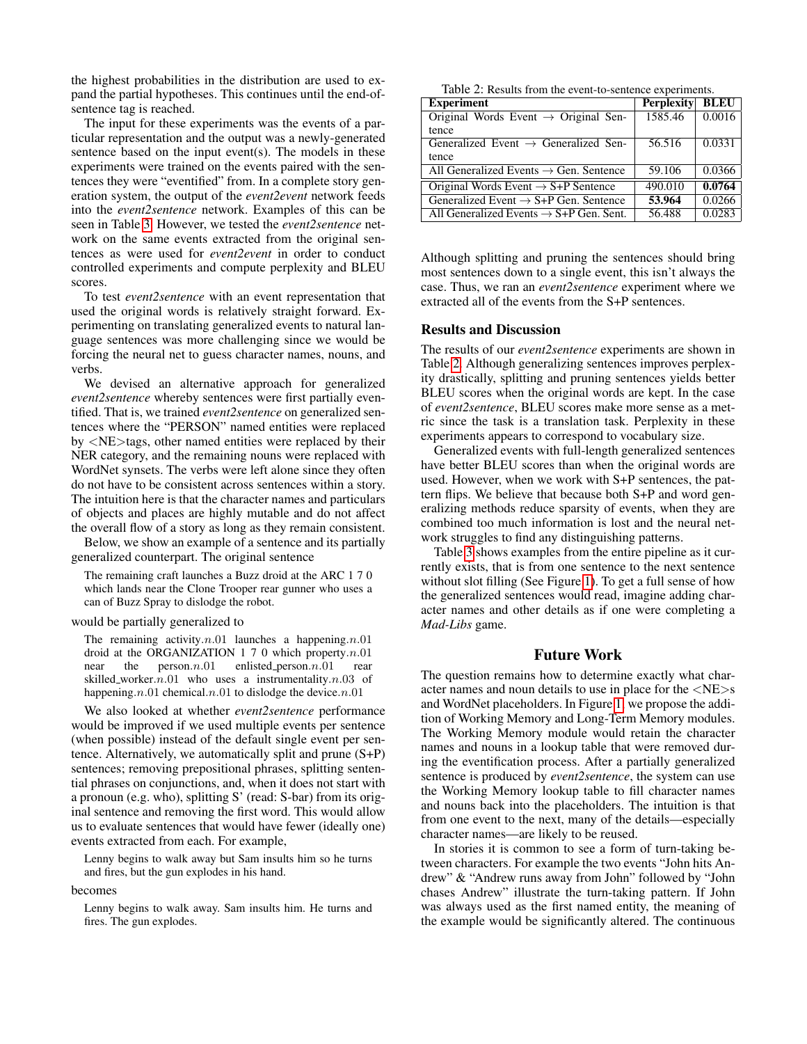the highest probabilities in the distribution are used to expand the partial hypotheses. This continues until the end-ofsentence tag is reached.

The input for these experiments was the events of a particular representation and the output was a newly-generated sentence based on the input event(s). The models in these experiments were trained on the events paired with the sentences they were "eventified" from. In a complete story generation system, the output of the *event2event* network feeds into the *event2sentence* network. Examples of this can be seen in Table [3.](#page-6-1) However, we tested the *event2sentence* network on the same events extracted from the original sentences as were used for *event2event* in order to conduct controlled experiments and compute perplexity and BLEU scores.

To test *event2sentence* with an event representation that used the original words is relatively straight forward. Experimenting on translating generalized events to natural language sentences was more challenging since we would be forcing the neural net to guess character names, nouns, and verbs.

We devised an alternative approach for generalized *event2sentence* whereby sentences were first partially eventified. That is, we trained *event2sentence* on generalized sentences where the "PERSON" named entities were replaced by <NE>tags, other named entities were replaced by their NER category, and the remaining nouns were replaced with WordNet synsets. The verbs were left alone since they often do not have to be consistent across sentences within a story. The intuition here is that the character names and particulars of objects and places are highly mutable and do not affect the overall flow of a story as long as they remain consistent.

Below, we show an example of a sentence and its partially generalized counterpart. The original sentence

The remaining craft launches a Buzz droid at the ARC 1 7 0 which lands near the Clone Trooper rear gunner who uses a can of Buzz Spray to dislodge the robot.

#### would be partially generalized to

The remaining activity. $n.01$  launches a happening. $n.01$ droid at the ORGANIZATION 1 7 0 which property. $n.01$ near the  $person.n.01$  enlisted person. $n.01$  rear skilled\_worker.n.01 who uses a instrumentality.n.03 of happening.n.01 chemical.n.01 to dislodge the device.n.01

We also looked at whether *event2sentence* performance would be improved if we used multiple events per sentence (when possible) instead of the default single event per sentence. Alternatively, we automatically split and prune (S+P) sentences; removing prepositional phrases, splitting sentential phrases on conjunctions, and, when it does not start with a pronoun (e.g. who), splitting S' (read: S-bar) from its original sentence and removing the first word. This would allow us to evaluate sentences that would have fewer (ideally one) events extracted from each. For example,

Lenny begins to walk away but Sam insults him so he turns and fires, but the gun explodes in his hand.

becomes

Lenny begins to walk away. Sam insults him. He turns and fires. The gun explodes.

<span id="page-5-0"></span>Table 2: Results from the event-to-sentence experiments.

| <b>Experiment</b>                                   | <b>Perplexity</b> | <b>BLEU</b> |
|-----------------------------------------------------|-------------------|-------------|
| Original Words Event $\rightarrow$ Original Sen-    | 1585.46           | 0.0016      |
| tence                                               |                   |             |
| Generalized Event $\rightarrow$ Generalized Sen-    | 56.516            | 0.0331      |
| tence                                               |                   |             |
| All Generalized Events $\rightarrow$ Gen. Sentence  | 59.106            | 0.0366      |
| Original Words Event $\rightarrow$ S+P Sentence     | 490.010           | 0.0764      |
| Generalized Event $\rightarrow$ S+P Gen. Sentence   | 53.964            | 0.0266      |
| All Generalized Events $\rightarrow$ S+P Gen. Sent. | 56.488            | 0.0283      |

Although splitting and pruning the sentences should bring most sentences down to a single event, this isn't always the case. Thus, we ran an *event2sentence* experiment where we extracted all of the events from the S+P sentences.

### Results and Discussion

The results of our *event2sentence* experiments are shown in Table [2.](#page-5-0) Although generalizing sentences improves perplexity drastically, splitting and pruning sentences yields better BLEU scores when the original words are kept. In the case of *event2sentence*, BLEU scores make more sense as a metric since the task is a translation task. Perplexity in these experiments appears to correspond to vocabulary size.

Generalized events with full-length generalized sentences have better BLEU scores than when the original words are used. However, when we work with S+P sentences, the pattern flips. We believe that because both S+P and word generalizing methods reduce sparsity of events, when they are combined too much information is lost and the neural network struggles to find any distinguishing patterns.

Table [3](#page-6-1) shows examples from the entire pipeline as it currently exists, that is from one sentence to the next sentence without slot filling (See Figure [1\)](#page-4-1). To get a full sense of how the generalized sentences would read, imagine adding character names and other details as if one were completing a *Mad-Libs* game.

# Future Work

The question remains how to determine exactly what character names and noun details to use in place for the <NE>s and WordNet placeholders. In Figure [1,](#page-4-1) we propose the addition of Working Memory and Long-Term Memory modules. The Working Memory module would retain the character names and nouns in a lookup table that were removed during the eventification process. After a partially generalized sentence is produced by *event2sentence*, the system can use the Working Memory lookup table to fill character names and nouns back into the placeholders. The intuition is that from one event to the next, many of the details—especially character names—are likely to be reused.

In stories it is common to see a form of turn-taking between characters. For example the two events "John hits Andrew" & "Andrew runs away from John" followed by "John chases Andrew" illustrate the turn-taking pattern. If John was always used as the first named entity, the meaning of the example would be significantly altered. The continuous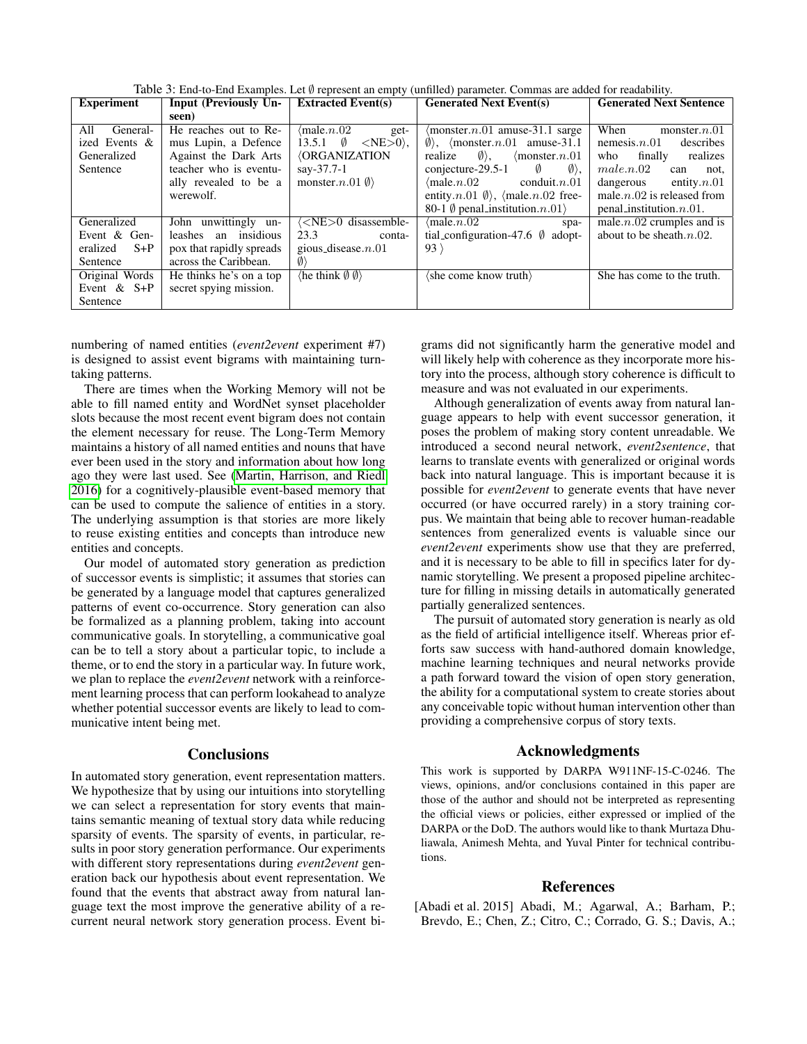<span id="page-6-1"></span>Table 3: End-to-End Examples. Let ∅ represent an empty (unfilled) parameter. Commas are added for readability.

| <b>Experiment</b> | Input (Previously Un-    | <b>Extracted Event(s)</b>                     | <b>Generated Next Event(s)</b>                            | <b>Generated Next Sentence</b> |
|-------------------|--------------------------|-----------------------------------------------|-----------------------------------------------------------|--------------------------------|
|                   | seen)                    |                                               |                                                           |                                |
| All<br>General-   | He reaches out to Re-    | $\langle$ male. $n.02$<br>get-                | $\langle$ monster. $n.01$ amuse-31.1 sarge                | When<br>monster. $n.01$        |
| ized Events &     | mus Lupin, a Defence     | 13.5.1 $\emptyset$<br>$\langle NE>0\rangle$ , | $\emptyset$ , (monster. <i>n</i> . 01 amuse - 31.1        | nemesis. $n.01$<br>describes   |
| Generalized       | Against the Dark Arts    | <b><i><u>{ORGANIZATION}</u></i></b>           | realize $\emptyset$ .<br>$\langle$ monster. $n.01$        | realizes<br>finally<br>who     |
| Sentence          | teacher who is eventu-   | say-37.7-1                                    | $conjecture-29.5-1$<br>$\langle \emptyset \rangle$ ,<br>Ø | male.n.02<br>can<br>not,       |
|                   | ally revealed to be a    | monster. $n.01 \emptyset$                     | $\langle$ male.n.02 conduit.n.01                          | dangerous<br>entity. $n.01$    |
|                   | werewolf.                |                                               | entity.n.01 $\emptyset$ , (male.n.02 free-                | male. $n.02$ is released from  |
|                   |                          |                                               | 80-1 $\emptyset$ penal_institution. $n.01$                | $penal_institution.n.01.$      |
| Generalized       | John unwittingly un-     | <ne>0 disassemble-</ne>                       | $\langle$ male. $n.02$<br>spa-                            | male. $n.02$ crumples and is   |
| Event & Gen-      | leashes an insidious     | 23.3<br>conta-                                | tial_configuration-47.6 $\emptyset$ adopt-                | about to be sheath. $n.02$ .   |
| eralized $S+P$    | pox that rapidly spreads | gious_disease. $n.01$                         | $93 \rangle$                                              |                                |
| Sentence          | across the Caribbean.    | $\langle 0 \rangle$                           |                                                           |                                |
| Original Words    | He thinks he's on a top  | $\langle$ he think $\emptyset$ $\emptyset$    | (she come know truth)                                     | She has come to the truth.     |
| Event $&$ S+P     | secret spying mission.   |                                               |                                                           |                                |
| Sentence          |                          |                                               |                                                           |                                |

numbering of named entities (*event2event* experiment #7) is designed to assist event bigrams with maintaining turntaking patterns.

There are times when the Working Memory will not be able to fill named entity and WordNet synset placeholder slots because the most recent event bigram does not contain the element necessary for reuse. The Long-Term Memory maintains a history of all named entities and nouns that have ever been used in the story and information about how long ago they were last used. See [\(Martin, Harrison, and Riedl](#page-7-27) [2016\)](#page-7-27) for a cognitively-plausible event-based memory that can be used to compute the salience of entities in a story. The underlying assumption is that stories are more likely to reuse existing entities and concepts than introduce new entities and concepts.

Our model of automated story generation as prediction of successor events is simplistic; it assumes that stories can be generated by a language model that captures generalized patterns of event co-occurrence. Story generation can also be formalized as a planning problem, taking into account communicative goals. In storytelling, a communicative goal can be to tell a story about a particular topic, to include a theme, or to end the story in a particular way. In future work, we plan to replace the *event2event* network with a reinforcement learning process that can perform lookahead to analyze whether potential successor events are likely to lead to communicative intent being met.

### **Conclusions**

In automated story generation, event representation matters. We hypothesize that by using our intuitions into storytelling we can select a representation for story events that maintains semantic meaning of textual story data while reducing sparsity of events. The sparsity of events, in particular, results in poor story generation performance. Our experiments with different story representations during *event2event* generation back our hypothesis about event representation. We found that the events that abstract away from natural language text the most improve the generative ability of a recurrent neural network story generation process. Event bi-

grams did not significantly harm the generative model and will likely help with coherence as they incorporate more history into the process, although story coherence is difficult to measure and was not evaluated in our experiments.

Although generalization of events away from natural language appears to help with event successor generation, it poses the problem of making story content unreadable. We introduced a second neural network, *event2sentence*, that learns to translate events with generalized or original words back into natural language. This is important because it is possible for *event2event* to generate events that have never occurred (or have occurred rarely) in a story training corpus. We maintain that being able to recover human-readable sentences from generalized events is valuable since our *event2event* experiments show use that they are preferred, and it is necessary to be able to fill in specifics later for dynamic storytelling. We present a proposed pipeline architecture for filling in missing details in automatically generated partially generalized sentences.

The pursuit of automated story generation is nearly as old as the field of artificial intelligence itself. Whereas prior efforts saw success with hand-authored domain knowledge, machine learning techniques and neural networks provide a path forward toward the vision of open story generation, the ability for a computational system to create stories about any conceivable topic without human intervention other than providing a comprehensive corpus of story texts.

### Acknowledgments

This work is supported by DARPA W911NF-15-C-0246. The views, opinions, and/or conclusions contained in this paper are those of the author and should not be interpreted as representing the official views or policies, either expressed or implied of the DARPA or the DoD. The authors would like to thank Murtaza Dhuliawala, Animesh Mehta, and Yuval Pinter for technical contributions.

#### References

<span id="page-6-0"></span>[Abadi et al. 2015] Abadi, M.; Agarwal, A.; Barham, P.; Brevdo, E.; Chen, Z.; Citro, C.; Corrado, G. S.; Davis, A.;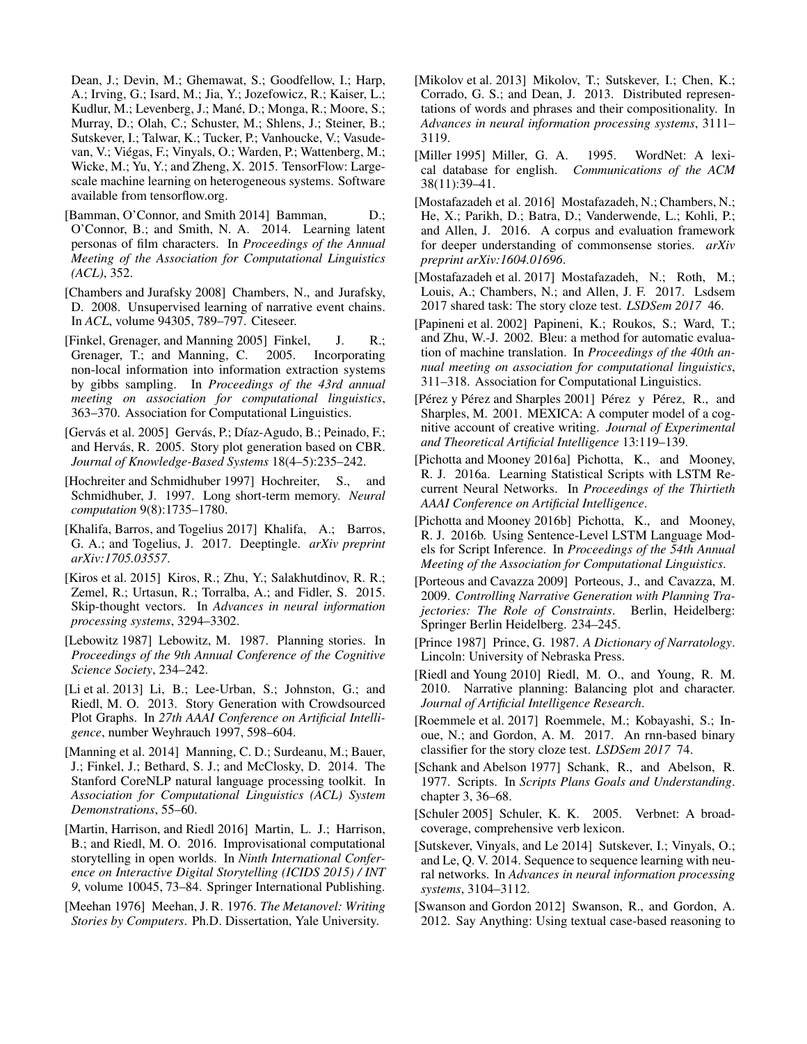Dean, J.; Devin, M.; Ghemawat, S.; Goodfellow, I.; Harp, A.; Irving, G.; Isard, M.; Jia, Y.; Jozefowicz, R.; Kaiser, L.; Kudlur, M.; Levenberg, J.; Mané, D.; Monga, R.; Moore, S.; Murray, D.; Olah, C.; Schuster, M.; Shlens, J.; Steiner, B.; Sutskever, I.; Talwar, K.; Tucker, P.; Vanhoucke, V.; Vasudevan, V.; Viegas, F.; Vinyals, O.; Warden, P.; Wattenberg, M.; ´ Wicke, M.; Yu, Y.; and Zheng, X. 2015. TensorFlow: Largescale machine learning on heterogeneous systems. Software available from tensorflow.org.

- <span id="page-7-10"></span>[Bamman, O'Connor, and Smith 2014] Bamman, D.; O'Connor, B.; and Smith, N. A. 2014. Learning latent personas of film characters. In *Proceedings of the Annual Meeting of the Association for Computational Linguistics (ACL)*, 352.
- <span id="page-7-17"></span>[Chambers and Jurafsky 2008] Chambers, N., and Jurafsky, D. 2008. Unsupervised learning of narrative event chains. In *ACL*, volume 94305, 789–797. Citeseer.
- <span id="page-7-22"></span>[Finkel, Grenager, and Manning 2005] Finkel, J. R.; Grenager, T.; and Manning, C. 2005. Incorporating non-local information into information extraction systems by gibbs sampling. In *Proceedings of the 43rd annual meeting on association for computational linguistics*, 363–370. Association for Computational Linguistics.
- <span id="page-7-5"></span>[Gervás et al. 2005] Gervás, P.; Díaz-Agudo, B.; Peinado, F.; and Hervás, R. 2005. Story plot generation based on CBR. *Journal of Knowledge-Based Systems* 18(4–5):235–242.
- <span id="page-7-12"></span>[Hochreiter and Schmidhuber 1997] Hochreiter, S., and Schmidhuber, J. 1997. Long short-term memory. *Neural computation* 9(8):1735–1780.
- <span id="page-7-15"></span>[Khalifa, Barros, and Togelius 2017] Khalifa, A.; Barros, G. A.; and Togelius, J. 2017. Deeptingle. *arXiv preprint arXiv:1705.03557*.
- <span id="page-7-13"></span>[Kiros et al. 2015] Kiros, R.; Zhu, Y.; Salakhutdinov, R. R.; Zemel, R.; Urtasun, R.; Torralba, A.; and Fidler, S. 2015. Skip-thought vectors. In *Advances in neural information processing systems*, 3294–3302.
- <span id="page-7-1"></span>[Lebowitz 1987] Lebowitz, M. 1987. Planning stories. In *Proceedings of the 9th Annual Conference of the Cognitive Science Society*, 234–242.
- <span id="page-7-6"></span>[Li et al. 2013] Li, B.; Lee-Urban, S.; Johnston, G.; and Riedl, M. O. 2013. Story Generation with Crowdsourced Plot Graphs. In *27th AAAI Conference on Artificial Intelligence*, number Weyhrauch 1997, 598–604.
- <span id="page-7-21"></span>[Manning et al. 2014] Manning, C. D.; Surdeanu, M.; Bauer, J.; Finkel, J.; Bethard, S. J.; and McClosky, D. 2014. The Stanford CoreNLP natural language processing toolkit. In *Association for Computational Linguistics (ACL) System Demonstrations*, 55–60.
- <span id="page-7-27"></span>[Martin, Harrison, and Riedl 2016] Martin, L. J.; Harrison, B.; and Riedl, M. O. 2016. Improvisational computational storytelling in open worlds. In *Ninth International Conference on Interactive Digital Storytelling (ICIDS 2015) / INT 9*, volume 10045, 73–84. Springer International Publishing.
- <span id="page-7-0"></span>[Meehan 1976] Meehan, J. R. 1976. *The Metanovel: Writing Stories by Computers*. Ph.D. Dissertation, Yale University.
- <span id="page-7-14"></span>[Mikolov et al. 2013] Mikolov, T.; Sutskever, I.; Chen, K.; Corrado, G. S.; and Dean, J. 2013. Distributed representations of words and phrases and their compositionality. In *Advances in neural information processing systems*, 3111– 3119.
- <span id="page-7-23"></span>[Miller 1995] Miller, G. A. 1995. WordNet: A lexical database for english. *Communications of the ACM* 38(11):39–41.
- <span id="page-7-19"></span>[Mostafazadeh et al. 2016] Mostafazadeh, N.; Chambers, N.; He, X.; Parikh, D.; Batra, D.; Vanderwende, L.; Kohli, P.; and Allen, J. 2016. A corpus and evaluation framework for deeper understanding of commonsense stories. *arXiv preprint arXiv:1604.01696*.
- <span id="page-7-20"></span>[Mostafazadeh et al. 2017] Mostafazadeh, N.; Roth, M.; Louis, A.; Chambers, N.; and Allen, J. F. 2017. Lsdsem 2017 shared task: The story cloze test. *LSDSem 2017* 46.
- <span id="page-7-25"></span>[Papineni et al. 2002] Papineni, K.; Roukos, S.; Ward, T.; and Zhu, W.-J. 2002. Bleu: a method for automatic evaluation of machine translation. In *Proceedings of the 40th annual meeting on association for computational linguistics*, 311–318. Association for Computational Linguistics.
- <span id="page-7-2"></span>[Pérez y Pérez and Sharples 2001] Pérez y Pérez, R., and Sharples, M. 2001. MEXICA: A computer model of a cognitive account of creative writing. *Journal of Experimental and Theoretical Artificial Intelligence* 13:119–139.
- <span id="page-7-18"></span>[Pichotta and Mooney 2016a] Pichotta, K., and Mooney, R. J. 2016a. Learning Statistical Scripts with LSTM Recurrent Neural Networks. In *Proceedings of the Thirtieth AAAI Conference on Artificial Intelligence*.
- <span id="page-7-26"></span>[Pichotta and Mooney 2016b] Pichotta, K., and Mooney, R. J. 2016b. Using Sentence-Level LSTM Language Models for Script Inference. In *Proceedings of the 54th Annual Meeting of the Association for Computational Linguistics*.
- <span id="page-7-3"></span>[Porteous and Cavazza 2009] Porteous, J., and Cavazza, M. 2009. *Controlling Narrative Generation with Planning Trajectories: The Role of Constraints*. Berlin, Heidelberg: Springer Berlin Heidelberg. 234–245.
- <span id="page-7-11"></span>[Prince 1987] Prince, G. 1987. *A Dictionary of Narratology*. Lincoln: University of Nebraska Press.
- <span id="page-7-4"></span>[Riedl and Young 2010] Riedl, M. O., and Young, R. M. 2010. Narrative planning: Balancing plot and character. *Journal of Artificial Intelligence Research*.
- <span id="page-7-7"></span>[Roemmele et al. 2017] Roemmele, M.; Kobayashi, S.; Inoue, N.; and Gordon, A. M. 2017. An rnn-based binary classifier for the story cloze test. *LSDSem 2017* 74.
- <span id="page-7-16"></span>[Schank and Abelson 1977] Schank, R., and Abelson, R. 1977. Scripts. In *Scripts Plans Goals and Understanding*. chapter 3, 36–68.
- <span id="page-7-24"></span>[Schuler 2005] Schuler, K. K. 2005. Verbnet: A broadcoverage, comprehensive verb lexicon.
- <span id="page-7-9"></span>[Sutskever, Vinyals, and Le 2014] Sutskever, I.; Vinyals, O.; and Le, Q. V. 2014. Sequence to sequence learning with neural networks. In *Advances in neural information processing systems*, 3104–3112.
- <span id="page-7-8"></span>[Swanson and Gordon 2012] Swanson, R., and Gordon, A. 2012. Say Anything: Using textual case-based reasoning to